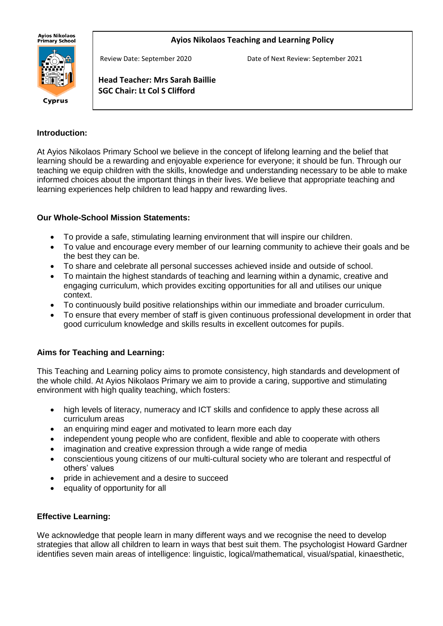**Ayios Nikolaos** ny.cs m.c.c.cs<br>Primary School

#### **Ayios Nikolaos Teaching and Learning Policy**



Review Date: September 2020 Date of Next Review: September 2021

**Head Teacher: Mrs Sarah Baillie SGC Chair: Lt Col S Clifford**

#### **Introduction:**

At Ayios Nikolaos Primary School we believe in the concept of lifelong learning and the belief that learning should be a rewarding and enjoyable experience for everyone; it should be fun. Through our teaching we equip children with the skills, knowledge and understanding necessary to be able to make informed choices about the important things in their lives. We believe that appropriate teaching and learning experiences help children to lead happy and rewarding lives.

#### **Our Whole-School Mission Statements:**

j

- To provide a safe, stimulating learning environment that will inspire our children.
- To value and encourage every member of our learning community to achieve their goals and be the best they can be.
- To share and celebrate all personal successes achieved inside and outside of school.
- To maintain the highest standards of teaching and learning within a dynamic, creative and engaging curriculum, which provides exciting opportunities for all and utilises our unique context.
- To continuously build positive relationships within our immediate and broader curriculum.
- To ensure that every member of staff is given continuous professional development in order that good curriculum knowledge and skills results in excellent outcomes for pupils.

#### **Aims for Teaching and Learning:**

This Teaching and Learning policy aims to promote consistency, high standards and development of the whole child. At Ayios Nikolaos Primary we aim to provide a caring, supportive and stimulating environment with high quality teaching, which fosters:

- high levels of literacy, numeracy and ICT skills and confidence to apply these across all curriculum areas
- an enquiring mind eager and motivated to learn more each day
- independent young people who are confident, flexible and able to cooperate with others
- imagination and creative expression through a wide range of media
- conscientious young citizens of our multi-cultural society who are tolerant and respectful of others' values
- pride in achievement and a desire to succeed
- equality of opportunity for all

## **Effective Learning:**

We acknowledge that people learn in many different ways and we recognise the need to develop strategies that allow all children to learn in ways that best suit them. The psychologist Howard Gardner identifies seven main areas of intelligence: linguistic, logical/mathematical, visual/spatial, kinaesthetic,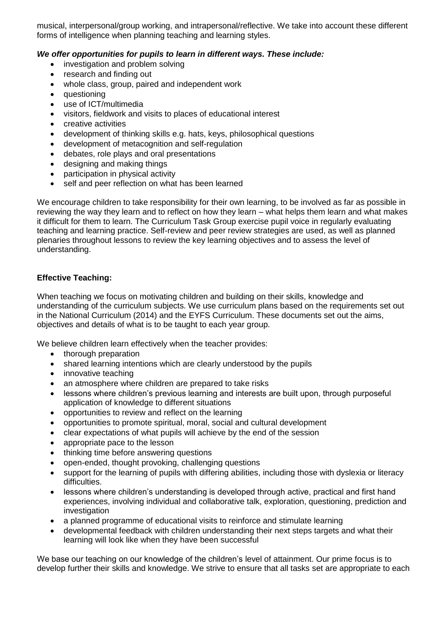musical, interpersonal/group working, and intrapersonal/reflective. We take into account these different forms of intelligence when planning teaching and learning styles.

### *We offer opportunities for pupils to learn in different ways. These include:*

- investigation and problem solving
- research and finding out
- whole class, group, paired and independent work
- questioning
- use of ICT/multimedia
- visitors, fieldwork and visits to places of educational interest
- creative activities
- development of thinking skills e.g. hats, keys, philosophical questions
- development of metacognition and self-regulation
- debates, role plays and oral presentations
- designing and making things
- participation in physical activity
- self and peer reflection on what has been learned

We encourage children to take responsibility for their own learning, to be involved as far as possible in reviewing the way they learn and to reflect on how they learn – what helps them learn and what makes it difficult for them to learn. The Curriculum Task Group exercise pupil voice in regularly evaluating teaching and learning practice. Self-review and peer review strategies are used, as well as planned plenaries throughout lessons to review the key learning objectives and to assess the level of understanding.

### **Effective Teaching:**

When teaching we focus on motivating children and building on their skills, knowledge and understanding of the curriculum subjects. We use curriculum plans based on the requirements set out in the National Curriculum (2014) and the EYFS Curriculum. These documents set out the aims, objectives and details of what is to be taught to each year group.

We believe children learn effectively when the teacher provides:

- thorough preparation
- shared learning intentions which are clearly understood by the pupils
- innovative teaching
- an atmosphere where children are prepared to take risks
- lessons where children's previous learning and interests are built upon, through purposeful application of knowledge to different situations
- opportunities to review and reflect on the learning
- opportunities to promote spiritual, moral, social and cultural development
- clear expectations of what pupils will achieve by the end of the session
- appropriate pace to the lesson
- thinking time before answering questions
- open-ended, thought provoking, challenging questions
- support for the learning of pupils with differing abilities, including those with dyslexia or literacy difficulties.
- lessons where children's understanding is developed through active, practical and first hand experiences, involving individual and collaborative talk, exploration, questioning, prediction and investigation
- a planned programme of educational visits to reinforce and stimulate learning
- developmental feedback with children understanding their next steps targets and what their learning will look like when they have been successful

We base our teaching on our knowledge of the children's level of attainment. Our prime focus is to develop further their skills and knowledge. We strive to ensure that all tasks set are appropriate to each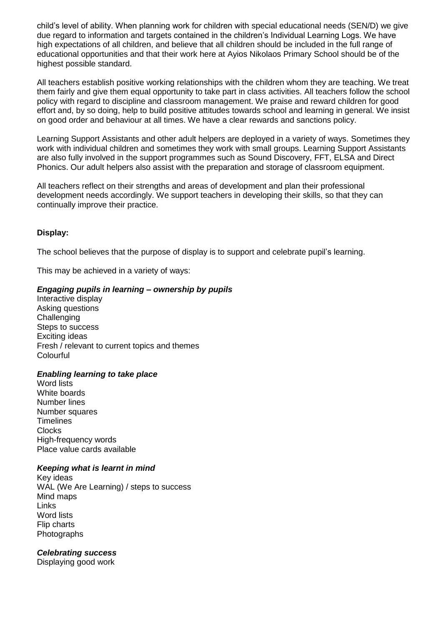child's level of ability. When planning work for children with special educational needs (SEN/D) we give due regard to information and targets contained in the children's Individual Learning Logs. We have high expectations of all children, and believe that all children should be included in the full range of educational opportunities and that their work here at Ayios Nikolaos Primary School should be of the highest possible standard.

All teachers establish positive working relationships with the children whom they are teaching. We treat them fairly and give them equal opportunity to take part in class activities. All teachers follow the school policy with regard to discipline and classroom management. We praise and reward children for good effort and, by so doing, help to build positive attitudes towards school and learning in general. We insist on good order and behaviour at all times. We have a clear rewards and sanctions policy.

Learning Support Assistants and other adult helpers are deployed in a variety of ways. Sometimes they work with individual children and sometimes they work with small groups. Learning Support Assistants are also fully involved in the support programmes such as Sound Discovery, FFT, ELSA and Direct Phonics. Our adult helpers also assist with the preparation and storage of classroom equipment.

All teachers reflect on their strengths and areas of development and plan their professional development needs accordingly. We support teachers in developing their skills, so that they can continually improve their practice.

#### **Display:**

The school believes that the purpose of display is to support and celebrate pupil's learning.

This may be achieved in a variety of ways:

### *Engaging pupils in learning – ownership by pupils*

Interactive display Asking questions **Challenging** Steps to success Exciting ideas Fresh / relevant to current topics and themes Colourful

#### *Enabling learning to take place*

Word lists White boards Number lines Number squares **Timelines Clocks** High-frequency words Place value cards available

#### *Keeping what is learnt in mind*

Key ideas WAL (We Are Learning) / steps to success Mind maps Links Word lists Flip charts Photographs

## *Celebrating success*

Displaying good work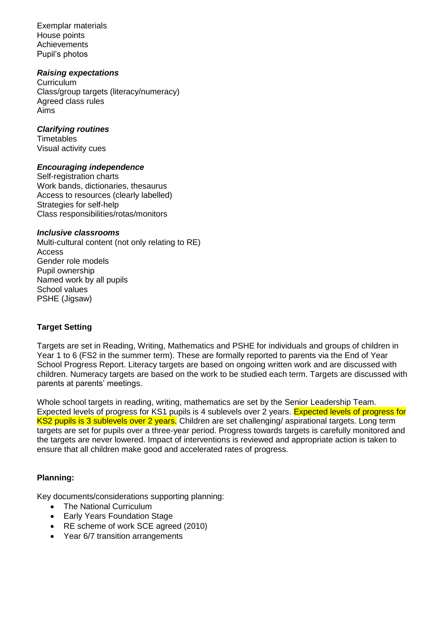Exemplar materials House points **Achievements** Pupil's photos

#### *Raising expectations*

**Curriculum** Class/group targets (literacy/numeracy) Agreed class rules Aims

#### *Clarifying routines*

**Timetables** Visual activity cues

#### *Encouraging independence*

Self-registration charts Work bands, dictionaries, thesaurus Access to resources (clearly labelled) Strategies for self-help Class responsibilities/rotas/monitors

### *Inclusive classrooms*

Multi-cultural content (not only relating to RE) Access Gender role models Pupil ownership Named work by all pupils School values PSHE (Jigsaw)

## **Target Setting**

Targets are set in Reading, Writing, Mathematics and PSHE for individuals and groups of children in Year 1 to 6 (FS2 in the summer term). These are formally reported to parents via the End of Year School Progress Report. Literacy targets are based on ongoing written work and are discussed with children. Numeracy targets are based on the work to be studied each term. Targets are discussed with parents at parents' meetings.

Whole school targets in reading, writing, mathematics are set by the Senior Leadership Team. Expected levels of progress for KS1 pupils is 4 sublevels over 2 years. Expected levels of progress for KS2 pupils is 3 sublevels over 2 years. Children are set challenging/ aspirational targets. Long term targets are set for pupils over a three-year period. Progress towards targets is carefully monitored and the targets are never lowered. Impact of interventions is reviewed and appropriate action is taken to ensure that all children make good and accelerated rates of progress.

## **Planning:**

Key documents/considerations supporting planning:

- The National Curriculum
- Early Years Foundation Stage
- RE scheme of work SCE agreed (2010)
- Year 6/7 transition arrangements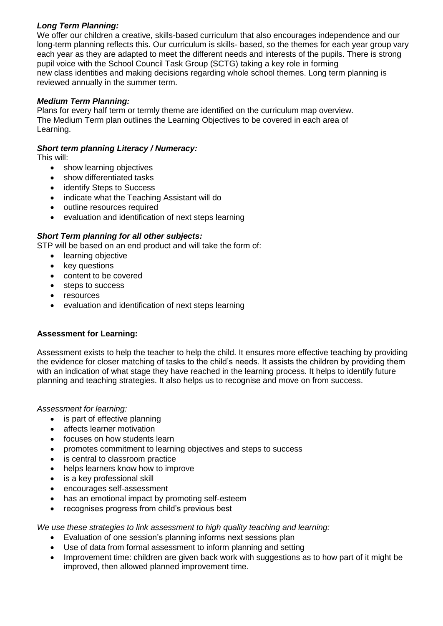# *Long Term Planning:*

We offer our children a creative, skills-based curriculum that also encourages independence and our long-term planning reflects this. Our curriculum is skills- based, so the themes for each year group vary each year as they are adapted to meet the different needs and interests of the pupils. There is strong pupil voice with the School Council Task Group (SCTG) taking a key role in forming new class identities and making decisions regarding whole school themes. Long term planning is reviewed annually in the summer term.

# *Medium Term Planning:*

Plans for every half term or termly theme are identified on the curriculum map overview. The Medium Term plan outlines the Learning Objectives to be covered in each area of Learning.

## *Short term planning Literacy / Numeracy:*

This will:

- show learning objectives
- show differentiated tasks
- identify Steps to Success
- indicate what the Teaching Assistant will do
- outline resources required
- evaluation and identification of next steps learning

# *Short Term planning for all other subjects:*

STP will be based on an end product and will take the form of:

- learning objective
- key questions
- content to be covered
- steps to success
- resources
- evaluation and identification of next steps learning

## **Assessment for Learning:**

Assessment exists to help the teacher to help the child. It ensures more effective teaching by providing the evidence for closer matching of tasks to the child's needs. It assists the children by providing them with an indication of what stage they have reached in the learning process. It helps to identify future planning and teaching strategies. It also helps us to recognise and move on from success.

*Assessment for learning:*

- is part of effective planning
- affects learner motivation
- focuses on how students learn
- promotes commitment to learning objectives and steps to success
- is central to classroom practice
- helps learners know how to improve
- is a key professional skill
- encourages self-assessment
- has an emotional impact by promoting self-esteem
- recognises progress from child's previous best

*We use these strategies to link assessment to high quality teaching and learning:*

- Evaluation of one session's planning informs next sessions plan
- Use of data from formal assessment to inform planning and setting
- Improvement time: children are given back work with suggestions as to how part of it might be improved, then allowed planned improvement time.